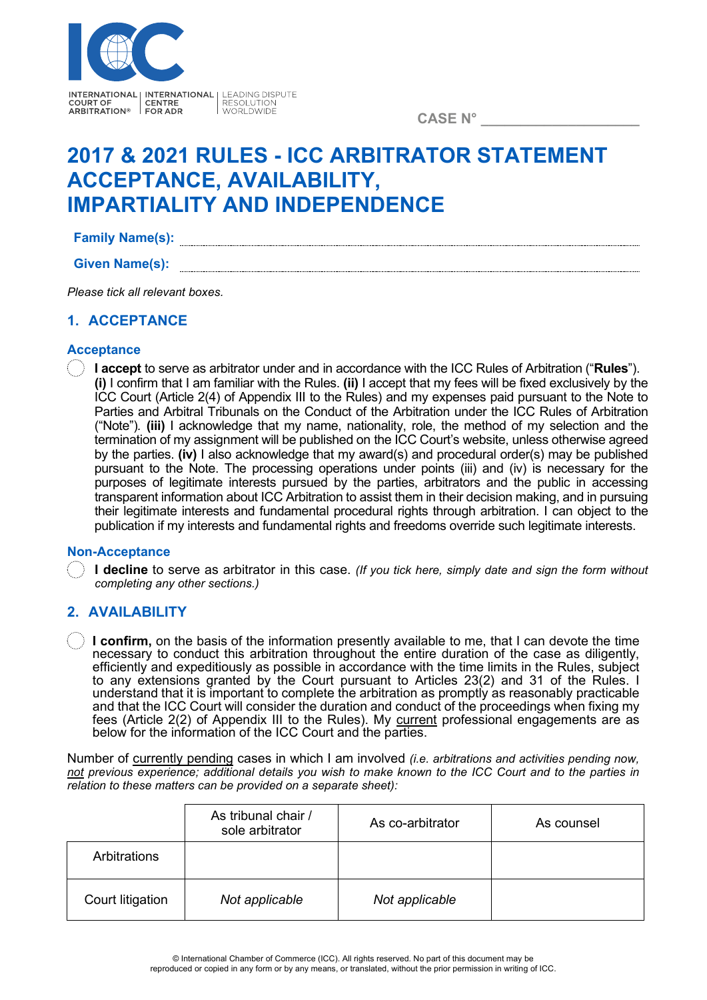

**CASE N° \_\_\_\_\_\_\_\_\_\_\_\_\_\_\_\_\_\_\_\_**

### **2017 & 2021 RULES - ICC ARBITRATOR STATEMENT ACCEPTANCE, AVAILABILITY, IMPARTIALITY AND INDEPENDENCE**

#### **Family Name(s):**

#### **Given Name(s):**

*Please tick all relevant boxes.*

#### **1. ACCEPTANCE**

#### **Acceptance**

**I accept** to serve as arbitrator under and in accordance with the ICC Rules of Arbitration ("**Rules**"). **(i)** I confirm that I am familiar with the Rules. **(ii)** I accept that my fees will be fixed exclusively by the ICC Court (Article 2(4) of Appendix III to the Rules) and my expenses paid pursuant to the Note to Parties and Arbitral Tribunals on the Conduct of the Arbitration under the ICC Rules of Arbitration ("Note")*.* **(iii)** I acknowledge that my name, nationality, role, the method of my selection and the termination of my assignment will be published on the ICC Court's website, unless otherwise agreed by the parties. **(iv)** I also acknowledge that my award(s) and procedural order(s) may be published pursuant to the Note. The processing operations under points (iii) and (iv) is necessary for the purposes of legitimate interests pursued by the parties, arbitrators and the public in accessing transparent information about ICC Arbitration to assist them in their decision making, and in pursuing their legitimate interests and fundamental procedural rights through arbitration. I can object to the publication if my interests and fundamental rights and freedoms override such legitimate interests.

#### **Non-Acceptance**

**I decline** to serve as arbitrator in this case. *(If you tick here, simply date and sign the form without completing any other sections.)*

### **2. AVAILABILITY**

**I confirm,** on the basis of the information presently available to me, that I can devote the time necessary to conduct this arbitration throughout the entire duration of the case as diligently, efficiently and expeditiously as possible in accordance with the time limits in the Rules, subject to any extensions granted by the Court pursuant to Articles 23(2) and 31 of the Rules. I understand that it is important to complete the arbitration as promptly as reasonably practicable and that the ICC Court will consider the duration and conduct of the proceedings when fixing my fees (Article 2(2) of Appendix III to the Rules). My current professional engagements are as below for the information of the ICC Court and the parties.

Number of currently pending cases in which I am involved *(i.e. arbitrations and activities pending now, not previous experience; additional details you wish to make known to the ICC Court and to the parties in relation to these matters can be provided on a separate sheet):*

|                  | As tribunal chair /<br>sole arbitrator | As co-arbitrator | As counsel |
|------------------|----------------------------------------|------------------|------------|
| Arbitrations     |                                        |                  |            |
| Court litigation | Not applicable                         | Not applicable   |            |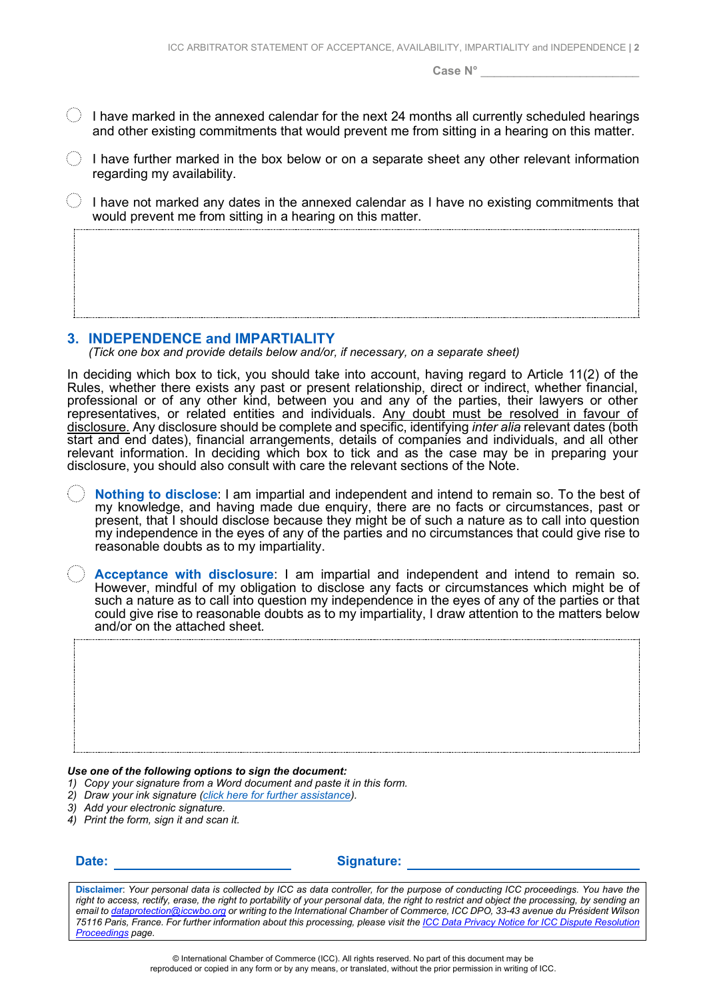**Case N°** \_\_\_\_\_\_\_\_\_\_\_\_\_\_\_\_\_\_\_\_\_\_\_\_

- I have marked in the annexed calendar for the next 24 months all currently scheduled hearings and other existing commitments that would prevent me from sitting in a hearing on this matter.
- $\langle \ \rangle$  I have further marked in the box below or on a separate sheet any other relevant information regarding my availability.
- $\circlearrowright$  I have not marked any dates in the annexed calendar as I have no existing commitments that would prevent me from sitting in a hearing on this matter.

#### **3. INDEPENDENCE and IMPARTIALITY**

*(Tick one box and provide details below and/or, if necessary, on a separate sheet)*

In deciding which box to tick, you should take into account, having regard to Article 11(2) of the Rules, whether there exists any past or present relationship, direct or indirect, whether financial, professional or of any other kind, between you and any of the parties, their lawyers or other representatives, or related entities and individuals. Any doubt must be resolved in favour of disclosure. Any disclosure should be complete and specific, identifying *inter alia* relevant dates (both start and end dates), financial arrangements, details of companies and individuals, and all other relevant information. In deciding which box to tick and as the case may be in preparing your disclosure, you should also consult with care the relevant sections of the Note.

**Nothing to disclose**: I am impartial and independent and intend to remain so. To the best of my knowledge, and having made due enquiry, there are no facts or circumstances, past or present, that I should disclose because they might be of such a nature as to call into question my independence in the eyes of any of the parties and no circumstances that could give rise to reasonable doubts as to my impartiality.

**Acceptance with disclosure**: I am impartial and independent and intend to remain so. However, mindful of my obligation to disclose any facts or circumstances which might be of such a nature as to call into question my independence in the eyes of any of the parties or that could give rise to reasonable doubts as to my impartiality, I draw attention to the matters below and/or on the attached sheet*.*

*Use one of the following options to sign the document:*

- *1) Copy your signature from a Word document and paste it in this form.*
- *2) Draw your ink signature [\(click here for further assistance\)](http://help.adobe.com/en_US/acrobat/X/standard/using/WSAC8084C2-14F7-4841-9EF8-92106D22C3DB.w.html).*
- *3) Add your electronic signature.*
- *4) Print the form, sign it and scan it.*

#### **Date: Signature:**

**Disclaimer**: *Your personal data is collected by ICC as data controller, for the purpose of conducting ICC proceedings. You have the right to access, rectify, erase, the right to portability of your personal data, the right to restrict and object the processing, by sending an email t[o dataprotection@iccwbo.org](mailto:dataprotection@iccwbo.org) or writing to the International Chamber of Commerce, ICC DPO, 33-43 avenue du Président Wilson 75116 Paris, France. For further information about this processing, please visit the <u>ICC Data Privacy Notice for ICC Dispute Resolution</u> [Proceedings](https://iccwbo.org/dispute-resolution-services/icc-data-privacy-notice-for-icc-dispute-resolution-proceedings/) page.*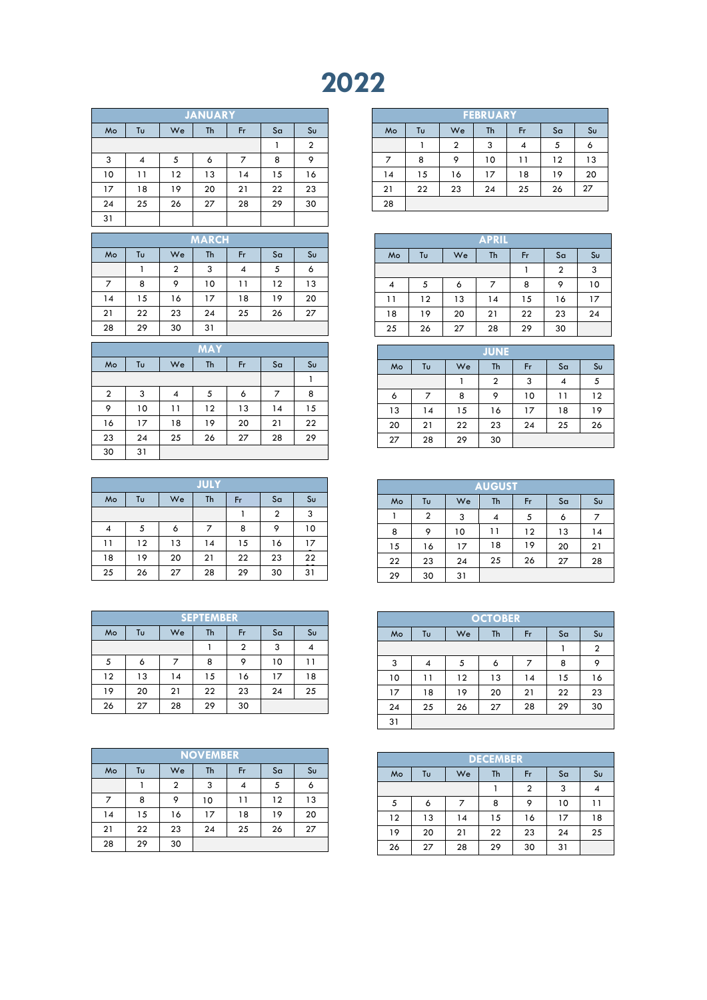# **2022**

|    | <b>JANUARY</b> |    |              |         |    |    |  |  |
|----|----------------|----|--------------|---------|----|----|--|--|
| Mo | Tυ             | We | Sa           | $S_{U}$ |    |    |  |  |
|    |                |    | $\mathbf{2}$ |         |    |    |  |  |
| 3  | 4              | 5  | 6            | 7       | 8  | 9  |  |  |
| 10 | 11             | 12 | 13           | 14      | 15 | 16 |  |  |
| 17 | 18             | 19 | 20           | 21      | 22 | 23 |  |  |
| 24 | 25             | 26 | 27           | 28      | 29 | 30 |  |  |
| 31 |                |    |              |         |    |    |  |  |

|    | <b>MARCH</b> |                |    |    |    |         |  |  |
|----|--------------|----------------|----|----|----|---------|--|--|
| Mo | Tυ           | We             | Th | Fr | Sa | $S_{U}$ |  |  |
|    |              | $\overline{2}$ | 3  | 4  | 5  | 6       |  |  |
| 7  | 8            | 9              | 10 | 11 | 12 | 13      |  |  |
| 14 | 15           | 16             | 17 | 18 | 19 | 20      |  |  |
| 21 | 22           | 23             | 24 | 25 | 26 | 27      |  |  |
| 28 | 29           | 30             | 31 |    |    |         |  |  |

|                |    |    | <b>MAY</b> |    |    |         |  |
|----------------|----|----|------------|----|----|---------|--|
| Mo             | Tυ | We | Th         | Fr | Sa | $S_{U}$ |  |
|                |    |    |            |    |    |         |  |
| $\overline{2}$ | 3  | 4  | 5          | 6  | 7  | 8       |  |
| 9              | 10 | 11 | 12         | 13 | 14 | 15      |  |
| 16             | 17 | 18 | 19         | 20 | 21 | 22      |  |
| 23             | 24 | 25 | 26         | 27 | 28 | 29      |  |
| 30             | 31 |    |            |    |    |         |  |

|    |    |    | <b>JULY</b> |    |                |         |
|----|----|----|-------------|----|----------------|---------|
| Mo | Tυ | We | <b>Th</b>   | Fr | Sa             | $S_{U}$ |
|    |    |    |             |    | $\overline{2}$ | 3       |
| 4  | 5  | 6  | 7           | 8  | 9              | 10      |
| 11 | 12 | 13 | 14          | 15 | 16             | 17      |
| 18 | 19 | 20 | 21          | 22 | 23             | 22      |
| 25 | 26 | 27 | 28          | 29 | 30             | 31      |

|    | <b>SEPTEMBER</b> |    |    |                |    |         |  |  |  |
|----|------------------|----|----|----------------|----|---------|--|--|--|
| Mo | Tυ               | We | Th | Fr             | Sa | $S_{U}$ |  |  |  |
|    |                  |    |    | $\overline{2}$ | 3  | 4       |  |  |  |
| 5  | 6                | 7  | 8  | 9              | 10 | 11      |  |  |  |
| 12 | 13               | 14 | 15 | 16             | 17 | 18      |  |  |  |
| 19 | 20               | 21 | 22 | 23             | 24 | 25      |  |  |  |
| 26 | 27               | 28 | 29 | 30             |    |         |  |  |  |

|    | <b>NOVEMBER</b> |                |    |    |    |    |  |  |  |
|----|-----------------|----------------|----|----|----|----|--|--|--|
| Mo | Tυ              | We             | Th | Fr | Sa | Su |  |  |  |
|    |                 | $\overline{2}$ | 3  | 4  | 5  | 6  |  |  |  |
| 7  | 8               | 9              | 10 | 11 | 12 | 13 |  |  |  |
| 14 | 15              | 16             | 17 | 18 | 19 | 20 |  |  |  |
| 21 | 22              | 23             | 24 | 25 | 26 | 27 |  |  |  |
| 28 | 29              | 30             |    |    |    |    |  |  |  |

|    | <b>FEBRUARY</b> |              |    |    |    |         |  |  |
|----|-----------------|--------------|----|----|----|---------|--|--|
| Mo | Tυ              | We           | Th | Fr | Sa | $S_{U}$ |  |  |
|    |                 | $\mathbf{2}$ | 3  | 4  | 5  | 6       |  |  |
| 7  | 8               | 9            | 10 | 11 | 12 | 13      |  |  |
| 14 | 15              | 16           | 17 | 18 | 19 | 20      |  |  |
| 21 | 22              | 23           | 24 | 25 | 26 | 27      |  |  |
| 28 |                 |              |    |    |    |         |  |  |

|    |    |    | <b>APRIL</b> |                |    |         |
|----|----|----|--------------|----------------|----|---------|
| Mo | Tυ | We | Th           | Fr             | Sa | $S_{U}$ |
|    |    |    |              | $\overline{2}$ | 3  |         |
| 4  | 5  | 6  | 7            | 8              | 9  | 10      |
| 11 | 12 | 13 | 14           | 15             | 16 | 17      |
| 18 | 19 | 20 | 21           | 22             | 23 | 24      |
| 25 | 26 | 27 | 28           | 29             | 30 |         |

| <b>JUNE</b> |    |    |                |    |    |         |  |
|-------------|----|----|----------------|----|----|---------|--|
| Mo          | Tυ | We | Th             | Fr | Sa | $S_{U}$ |  |
|             |    |    | $\overline{2}$ | 3  | 4  | 5       |  |
| 6           | 7  | 8  | 9              | 10 | 11 | 12      |  |
| 13          | 14 | 15 | 16             | 17 | 18 | 19      |  |
| 20          | 21 | 22 | 23             | 24 | 25 | 26      |  |
| 27          | 28 | 29 | 30             |    |    |         |  |

|    | <b>AUGUST</b> |    |    |    |    |                |  |  |  |
|----|---------------|----|----|----|----|----------------|--|--|--|
| Mo | Tυ            | We | Th | Fr | Sa | S <sub>U</sub> |  |  |  |
|    | 2             | 3  | 4  | 5  | 6  | 7              |  |  |  |
| 8  | 9             | 10 | 11 | 12 | 13 | 14             |  |  |  |
| 15 | 16            | 17 | 18 | 19 | 20 | 21             |  |  |  |
| 22 | 23            | 24 | 25 | 26 | 27 | 28             |  |  |  |
| 29 | 30            | 31 |    |    |    |                |  |  |  |

| <b>OCTOBER</b> |    |    |    |    |    |                |  |  |
|----------------|----|----|----|----|----|----------------|--|--|
| Mo             | Tυ | We | Th | Fr | Sa | S <sub>U</sub> |  |  |
|                |    |    |    |    |    | $\overline{2}$ |  |  |
| 3              | 4  | 5  | 6  | 7  | 8  | 9              |  |  |
| 10             | 11 | 12 | 13 | 14 | 15 | 16             |  |  |
| 17             | 18 | 19 | 20 | 21 | 22 | 23             |  |  |
| 24             | 25 | 26 | 27 | 28 | 29 | 30             |  |  |
| 31             |    |    |    |    |    |                |  |  |

|    | <b>DECEMBER</b> |    |    |                |    |                |  |  |  |
|----|-----------------|----|----|----------------|----|----------------|--|--|--|
| Mo | Tυ              | We | Th | Fr             | Sa | S <sub>U</sub> |  |  |  |
|    |                 |    |    | $\overline{2}$ | 3  | 4              |  |  |  |
| 5  | 6               |    | 8  | 9              | 10 | 11             |  |  |  |
| 12 | 13              | 14 | 15 | 16             | 17 | 18             |  |  |  |
| 19 | 20              | 21 | 22 | 23             | 24 | 25             |  |  |  |
| 26 | 27              | 28 | 29 | 30             | 31 |                |  |  |  |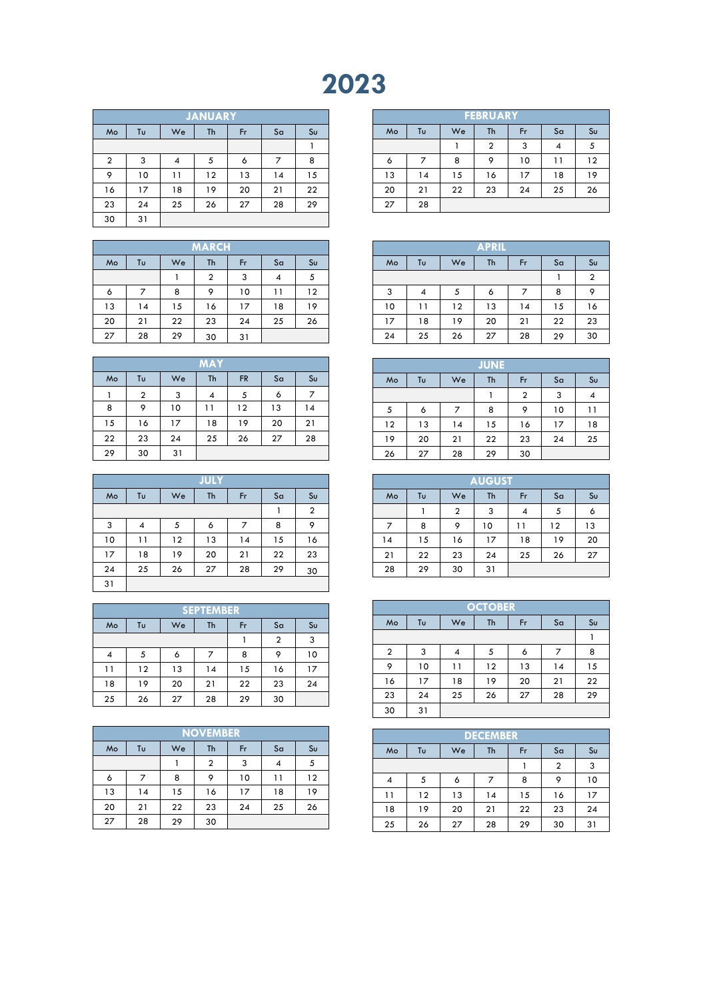## 

| <b>JANUARY</b> |    |    |    |    |    |         |  |
|----------------|----|----|----|----|----|---------|--|
| Mo             | Tυ | We | Th | Fr | Sa | $S_{U}$ |  |
|                |    |    |    |    |    |         |  |
| $\overline{2}$ | 3  | 4  | 5  | 6  | 7  | 8       |  |
| 9              | 10 | 11 | 12 | 13 | 14 | 15      |  |
| 16             | 17 | 18 | 19 | 20 | 21 | 22      |  |
| 23             | 24 | 25 | 26 | 27 | 28 | 29      |  |
| 30             | 31 |    |    |    |    |         |  |

| <b>MARCH</b> |    |    |    |    |    |         |  |  |
|--------------|----|----|----|----|----|---------|--|--|
| Mo           | Tu | We | Th | Fr | Sa | $S_{U}$ |  |  |
|              |    |    | 2  | 3  | 4  | 5       |  |  |
| 6            | 7  | 8  | 9  | 10 | 11 | 12      |  |  |
| 13           | 14 | 15 | 16 | 17 | 18 | 19      |  |  |
| 20           | 21 | 22 | 23 | 24 | 25 | 26      |  |  |
| 27           | 28 | 29 | 30 | 31 |    |         |  |  |

|    | <b>MAY</b> |    |    |           |    |         |  |  |  |
|----|------------|----|----|-----------|----|---------|--|--|--|
| Mo | Τu         | We | Th | <b>FR</b> | Sa | $S_{U}$ |  |  |  |
| 1  | 2          | 3  | 4  | 5         | 6  | 7       |  |  |  |
| 8  | 9          | 10 | 11 | 12        | 13 | 14      |  |  |  |
| 15 | 16         | 17 | 18 | 19        | 20 | 21      |  |  |  |
| 22 | 23         | 24 | 25 | 26        | 27 | 28      |  |  |  |
| 29 | 30         | 31 |    |           |    |         |  |  |  |

| <b>JULY</b> |    |    |              |    |    |         |  |  |
|-------------|----|----|--------------|----|----|---------|--|--|
| Mo          | Tυ | We | Th           | Fr | Sa | $S_{U}$ |  |  |
|             |    |    | $\mathbf{2}$ |    |    |         |  |  |
| 3           | 4  | 5  | 6            | 7  | 8  | 9       |  |  |
| 10          | 11 | 12 | 13           | 14 | 15 | 16      |  |  |
| 17          | 18 | 19 | 20           | 21 | 22 | 23      |  |  |
| 24          | 25 | 26 | 27           | 28 | 29 | 30      |  |  |
| 31          |    |    |              |    |    |         |  |  |

| <b>SEPTEMBER</b>                 |    |    |    |                |    |    |  |  |  |
|----------------------------------|----|----|----|----------------|----|----|--|--|--|
| We<br>Th<br>Sa<br>Fr<br>Mo<br>Tυ |    |    |    |                |    |    |  |  |  |
|                                  |    |    |    | $\overline{2}$ | 3  |    |  |  |  |
| $\overline{4}$                   | 5  | 6  | 7  | 8              | 9  | 10 |  |  |  |
| 11                               | 12 | 13 | 14 | 15             | 16 | 17 |  |  |  |
| 18                               | 19 | 20 | 21 | 22             | 23 | 24 |  |  |  |
| 25                               | 26 | 27 | 28 | 29             | 30 |    |  |  |  |

| <b>NOVEMBER</b> |    |    |    |    |    |         |  |
|-----------------|----|----|----|----|----|---------|--|
| Mo              | Tυ | We | Th | Fr | Sa | $S_{U}$ |  |
|                 |    |    | 2  | 3  |    | 5       |  |
| 6               | 7  | 8  | 9  | 10 | 11 | 12      |  |
| 13              | 14 | 15 | 16 | 17 | 18 | 19      |  |
| 20              | 21 | 22 | 23 | 24 | 25 | 26      |  |
| 27              | 28 | 29 | 30 |    |    |         |  |

|    | <b>FEBRUARY</b> |    |                |    |    |         |  |  |  |
|----|-----------------|----|----------------|----|----|---------|--|--|--|
| Mo | Tυ              | We | Th             | Fr | Sa | $S_{U}$ |  |  |  |
|    |                 |    | $\overline{2}$ | 3  | 4  | 5       |  |  |  |
| 6  |                 | 8  | 9              | 10 | 11 | 12      |  |  |  |
| 13 | 14              | 15 | 16             | 17 | 18 | 19      |  |  |  |
| 20 | 21              | 22 | 23             | 24 | 25 | 26      |  |  |  |
| 27 | 28              |    |                |    |    |         |  |  |  |

| <b>APRIL</b> |    |    |    |    |    |                |  |
|--------------|----|----|----|----|----|----------------|--|
| Mo           | Tυ | We | Th | Fr | Sa | $S_{U}$        |  |
|              |    |    |    |    |    | $\overline{2}$ |  |
| 3            | 4  | 5  | 6  | 7  | 8  | 9              |  |
| 10           | 11 | 12 | 13 | 14 | 15 | 16             |  |
| 17           | 18 | 19 | 20 | 21 | 22 | 23             |  |
| 24           | 25 | 26 | 27 | 28 | 29 | 30             |  |

| <b>JUNE</b> |    |    |    |                |    |    |  |  |
|-------------|----|----|----|----------------|----|----|--|--|
| Mo          | Τu | We | Th | Fr             | Sa | Su |  |  |
|             |    |    |    | $\overline{2}$ | 3  |    |  |  |
| 5           | 6  | 7  | 8  | 9              | 10 | 11 |  |  |
| 12          | 13 | 14 | 15 | 16             | 17 | 18 |  |  |
| 19          | 20 | 21 | 22 | 23             | 24 | 25 |  |  |
| 26          | 27 | 28 | 29 | 30             |    |    |  |  |

| <b>AUGUST</b> |    |    |    |    |    |         |  |  |
|---------------|----|----|----|----|----|---------|--|--|
| Mo            | Tυ | We | Th | Fr | Sa | $S_{U}$ |  |  |
|               |    | 2  | 3  | 4  | 5  | 6       |  |  |
| 7             | 8  | 9  | 10 | 11 | 12 | 13      |  |  |
| 14            | 15 | 16 | 17 | 18 | 19 | 20      |  |  |
| 21            | 22 | 23 | 24 | 25 | 26 | 27      |  |  |
| 28            | 29 | 30 | 31 |    |    |         |  |  |

| <b>OCTOBER</b> |    |    |    |    |    |         |  |  |
|----------------|----|----|----|----|----|---------|--|--|
| Mo             | Tυ | We | Th | Fr | Sa | $S_{U}$ |  |  |
|                |    |    |    |    |    |         |  |  |
| 2              | 3  | 4  | 5  | 6  | 7  | 8       |  |  |
| 9              | 10 | 11 | 12 | 13 | 14 | 15      |  |  |
| 16             | 17 | 18 | 19 | 20 | 21 | 22      |  |  |
| 23             | 24 | 25 | 26 | 27 | 28 | 29      |  |  |
| 30             | 31 |    |    |    |    |         |  |  |

| <b>DECEMBER</b> |    |    |    |                |    |    |  |  |  |
|-----------------|----|----|----|----------------|----|----|--|--|--|
| Mo              | Τυ | We | Th | Fr             | Sa | Su |  |  |  |
|                 |    |    |    | $\overline{2}$ | 3  |    |  |  |  |
| $\overline{4}$  | 5  | 6  | 7  | 8              | 9  | 10 |  |  |  |
| 11              | 12 | 13 | 14 | 15             | 16 | 17 |  |  |  |
| 18              | 19 | 20 | 21 | 22             | 23 | 24 |  |  |  |
| 25              | 26 | 27 | 28 | 29             | 30 | 31 |  |  |  |